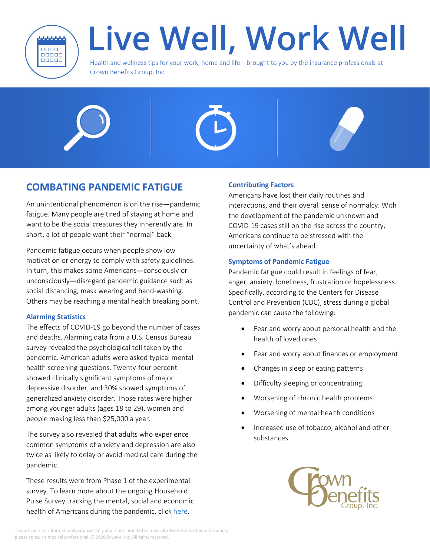

# Live Well, Work Well

Health and wellness tips for your work, home and life—brought to you by the insurance professionals at Crown Benefits Group, Inc.







## **COMBATING PANDEMIC FATIGUE**

An unintentional phenomenon is on the rise—pandemic fatigue. Many people are tired of staying at home and want to be the social creatures they inherently are. In short, a lot of people want their "normal" back.

Pandemic fatigue occurs when people show low motivation or energy to comply with safety guidelines. In turn, this makes some Americans—consciously or unconsciously—disregard pandemic guidance such as social distancing, mask wearing and hand-washing. Others may be reaching a mental health breaking point.

### **Alarming Statistics**

The effects of COVID-19 go beyond the number of cases and deaths. Alarming data from a U.S. Census Bureau survey revealed the psychological toll taken by the pandemic. American adults were asked typical mental health screening questions. Twenty-four percent showed clinically significant symptoms of major depressive disorder, and 30% showed symptoms of generalized anxiety disorder. Those rates were higher among younger adults (ages 18 to 29), women and people making less than \$25,000 a year.

The survey also revealed that adults who experience common symptoms of anxiety and depression are also twice as likely to delay or avoid medical care during the pandemic.

These results were from Phase 1 of the experimental survey. To learn more about the ongoing Household Pulse Survey tracking the mental, social and economic health of Americans during the pandemic, click [here.](https://www.census.gov/data/experimental-data-products/household-pulse-survey.html)

## **Contributing Factors**

Americans have lost their daily routines and interactions, and their overall sense of normalcy. With the development of the pandemic unknown and COVID-19 cases still on the rise across the country, Americans continue to be stressed with the uncertainty of what's ahead.

#### **Symptoms of Pandemic Fatigue**

Pandemic fatigue could result in feelings of fear, anger, anxiety, loneliness, frustration or hopelessness. Specifically, according to the Centers for Disease Control and Prevention (CDC), stress during a global pandemic can cause the following:

- Fear and worry about personal health and the health of loved ones
- Fear and worry about finances or employment
- Changes in sleep or eating patterns
- Difficulty sleeping or concentrating
- Worsening of chronic health problems
- Worsening of mental health conditions
- Increased use of tobacco, alcohol and other substances